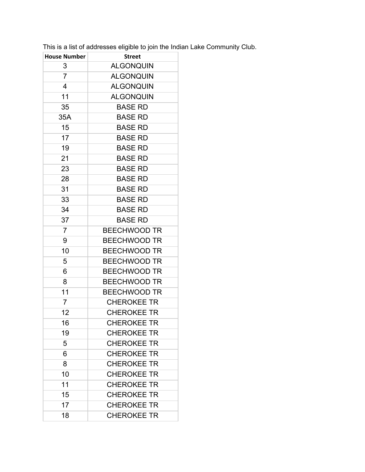This is a list of addresses eligible to join the Indian Lake Community Club.

| <b>House Number</b> | <b>Street</b>       |
|---------------------|---------------------|
| 3                   | <b>ALGONQUIN</b>    |
| $\overline{7}$      | <b>ALGONQUIN</b>    |
| 4                   | <b>ALGONQUIN</b>    |
| 11                  | <b>ALGONQUIN</b>    |
| 35                  | <b>BASE RD</b>      |
| 35A                 | <b>BASE RD</b>      |
| 15                  | <b>BASE RD</b>      |
| 17                  | <b>BASE RD</b>      |
| 19                  | <b>BASE RD</b>      |
| 21                  | <b>BASE RD</b>      |
| 23                  | <b>BASE RD</b>      |
| 28                  | <b>BASE RD</b>      |
| 31                  | <b>BASE RD</b>      |
| 33                  | <b>BASE RD</b>      |
| 34                  | <b>BASE RD</b>      |
| 37                  | <b>BASE RD</b>      |
| $\overline{7}$      | <b>BEECHWOOD TR</b> |
| 9                   | <b>BEECHWOOD TR</b> |
| 10                  | <b>BEECHWOOD TR</b> |
| 5                   | <b>BEECHWOOD TR</b> |
| 6                   | <b>BEECHWOOD TR</b> |
| 8                   | <b>BEECHWOOD TR</b> |
| 11                  | <b>BEECHWOOD TR</b> |
| 7                   | <b>CHEROKEE TR</b>  |
| 12                  | <b>CHEROKEE TR</b>  |
| 16                  | <b>CHEROKEE TR</b>  |
| 19                  | <b>CHEROKEE TR</b>  |
| 5                   | <b>CHEROKEE TR</b>  |
| 6                   | <b>CHEROKEE TR</b>  |
| 8                   | <b>CHEROKEE TR</b>  |
| 10                  | <b>CHEROKEE TR</b>  |
| 11                  | <b>CHEROKEE TR</b>  |
| 15                  | <b>CHEROKEE TR</b>  |
| 17                  | <b>CHEROKEE TR</b>  |
| 18                  | <b>CHEROKEE TR</b>  |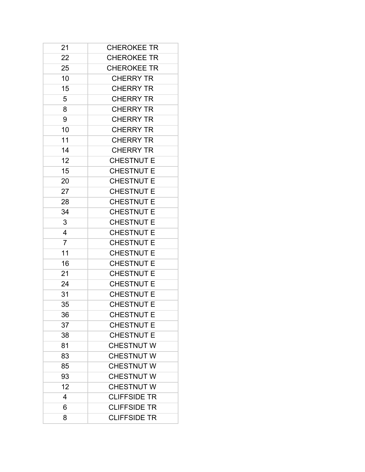| 21             | <b>CHEROKEE TR</b>  |
|----------------|---------------------|
| 22             | <b>CHEROKEE TR</b>  |
| 25             | <b>CHEROKEE TR</b>  |
| 10             | <b>CHERRY TR</b>    |
| 15             | <b>CHERRY TR</b>    |
| 5              | <b>CHERRY TR</b>    |
| 8              | <b>CHERRY TR</b>    |
| 9              | <b>CHERRY TR</b>    |
| 10             | <b>CHERRY TR</b>    |
| 11             | <b>CHERRY TR</b>    |
| 14             | <b>CHERRY TR</b>    |
| 12             | <b>CHESTNUT E</b>   |
| 15             | <b>CHESTNUT E</b>   |
| 20             | <b>CHESTNUT E</b>   |
| 27             | <b>CHESTNUT E</b>   |
| 28             | <b>CHESTNUT E</b>   |
| 34             | <b>CHESTNUT E</b>   |
| 3              | <b>CHESTNUT E</b>   |
| 4              | <b>CHESTNUT E</b>   |
| $\overline{7}$ | <b>CHESTNUT E</b>   |
| 11             | <b>CHESTNUT E</b>   |
| 16             | <b>CHESTNUT E</b>   |
| 21             | <b>CHESTNUT E</b>   |
| 24             | <b>CHESTNUT E</b>   |
| 31             | <b>CHESTNUT E</b>   |
| 35             | <b>CHESTNUT E</b>   |
| 36             | <b>CHESTNUT E</b>   |
| 37             | <b>CHESTNUT E</b>   |
| 38             | <b>CHESTNUT E</b>   |
| 81             | <b>CHESTNUT W</b>   |
| 83             | <b>CHESTNUT W</b>   |
| 85             | <b>CHESTNUT W</b>   |
| 93             | <b>CHESTNUT W</b>   |
| 12             | <b>CHESTNUT W</b>   |
| 4              | <b>CLIFFSIDE TR</b> |
| 6              | <b>CLIFFSIDE TR</b> |
| 8              | <b>CLIFFSIDE TR</b> |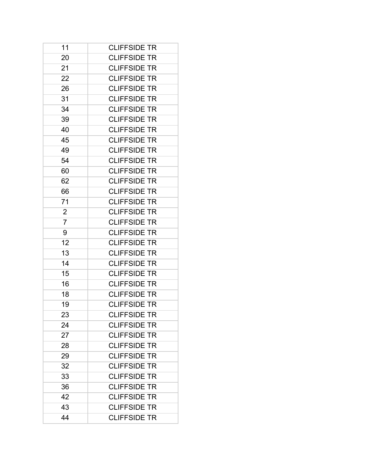| 11             | <b>CLIFFSIDE TR</b> |
|----------------|---------------------|
| 20             | <b>CLIFFSIDE TR</b> |
| 21             | <b>CLIFFSIDE TR</b> |
| 22             | <b>CLIFFSIDE TR</b> |
| 26             | <b>CLIFFSIDE TR</b> |
| 31             | <b>CLIFFSIDE TR</b> |
| 34             | <b>CLIFFSIDE TR</b> |
| 39             | <b>CLIFFSIDE TR</b> |
| 40             | <b>CLIFFSIDE TR</b> |
| 45             | <b>CLIFFSIDE TR</b> |
| 49             | <b>CLIFFSIDE TR</b> |
| 54             | <b>CLIFFSIDE TR</b> |
| 60             | <b>CLIFFSIDE TR</b> |
| 62             | <b>CLIFFSIDE TR</b> |
| 66             | <b>CLIFFSIDE TR</b> |
| 71             | <b>CLIFFSIDE TR</b> |
| $\overline{2}$ | <b>CLIFFSIDE TR</b> |
| $\overline{7}$ | <b>CLIFFSIDE TR</b> |
| 9              | <b>CLIFFSIDE TR</b> |
| 12             | <b>CLIFFSIDE TR</b> |
| 13             | <b>CLIFFSIDE TR</b> |
| 14             | <b>CLIFFSIDE TR</b> |
| 15             | <b>CLIFFSIDE TR</b> |
| 16             | <b>CLIFFSIDE TR</b> |
| 18             | <b>CLIFFSIDE TR</b> |
| 19             | <b>CLIFFSIDE TR</b> |
| 23             | <b>CLIFFSIDE TR</b> |
| 24             | <b>CLIFFSIDE TR</b> |
| 27             | <b>CLIFFSIDE TR</b> |
| 28             | <b>CLIFFSIDE TR</b> |
| 29             | <b>CLIFFSIDE TR</b> |
| 32             | <b>CLIFFSIDE TR</b> |
| 33             | <b>CLIFFSIDE TR</b> |
| 36             | <b>CLIFFSIDE TR</b> |
| 42             | <b>CLIFFSIDE TR</b> |
| 43             | <b>CLIFFSIDE TR</b> |
| 44             | <b>CLIFFSIDE TR</b> |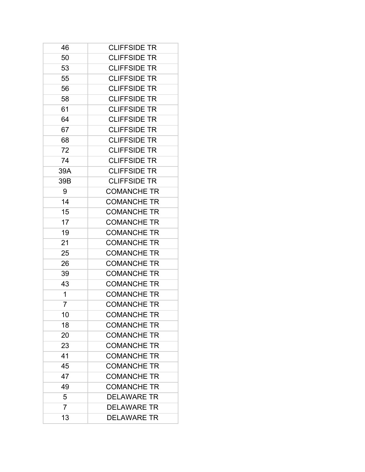| 46             | <b>CLIFFSIDE TR</b> |
|----------------|---------------------|
| 50             | <b>CLIFFSIDE TR</b> |
| 53             | <b>CLIFFSIDE TR</b> |
| 55             | <b>CLIFFSIDE TR</b> |
| 56             | <b>CLIFFSIDE TR</b> |
| 58             | <b>CLIFFSIDE TR</b> |
| 61             | <b>CLIFFSIDE TR</b> |
| 64             | <b>CLIFFSIDE TR</b> |
| 67             | <b>CLIFFSIDE TR</b> |
| 68             | <b>CLIFFSIDE TR</b> |
| 72             | <b>CLIFFSIDE TR</b> |
| 74             | <b>CLIFFSIDE TR</b> |
| 39A            | <b>CLIFFSIDE TR</b> |
| 39B            | <b>CLIFFSIDE TR</b> |
| 9              | <b>COMANCHE TR</b>  |
| 14             | <b>COMANCHE TR</b>  |
| 15             | <b>COMANCHE TR</b>  |
| 17             | <b>COMANCHE TR</b>  |
| 19             | <b>COMANCHE TR</b>  |
| 21             | <b>COMANCHE TR</b>  |
| 25             | <b>COMANCHE TR</b>  |
| 26             | <b>COMANCHE TR</b>  |
| 39             | <b>COMANCHE TR</b>  |
| 43             | <b>COMANCHE TR</b>  |
| 1              | <b>COMANCHE TR</b>  |
| 7              | <b>COMANCHE TR</b>  |
| 10             | <b>COMANCHE TR</b>  |
| 18             | <b>COMANCHE TR</b>  |
| 20             | <b>COMANCHE TR</b>  |
| 23             | <b>COMANCHE TR</b>  |
| 41             | <b>COMANCHE TR</b>  |
| 45             | <b>COMANCHE TR</b>  |
| 47             | <b>COMANCHE TR</b>  |
| 49             | <b>COMANCHE TR</b>  |
| 5              | <b>DELAWARE TR</b>  |
| $\overline{7}$ | <b>DELAWARE TR</b>  |
| 13             | <b>DELAWARE TR</b>  |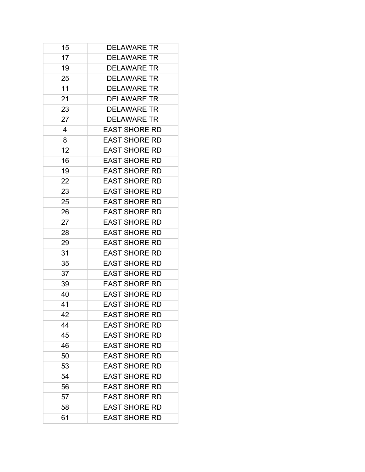| 15 | <b>DELAWARE TR</b>   |
|----|----------------------|
| 17 | <b>DELAWARE TR</b>   |
| 19 | <b>DELAWARE TR</b>   |
| 25 | <b>DELAWARE TR</b>   |
| 11 | <b>DELAWARE TR</b>   |
| 21 | <b>DELAWARE TR</b>   |
| 23 | <b>DELAWARE TR</b>   |
| 27 | <b>DELAWARE TR</b>   |
| 4  | <b>EAST SHORE RD</b> |
| 8  | <b>EAST SHORE RD</b> |
| 12 | <b>EAST SHORE RD</b> |
| 16 | <b>EAST SHORE RD</b> |
| 19 | <b>EAST SHORE RD</b> |
| 22 | <b>EAST SHORE RD</b> |
| 23 | <b>EAST SHORE RD</b> |
| 25 | <b>EAST SHORE RD</b> |
| 26 | <b>EAST SHORE RD</b> |
| 27 | <b>EAST SHORE RD</b> |
| 28 | <b>EAST SHORE RD</b> |
| 29 | <b>EAST SHORE RD</b> |
| 31 | <b>EAST SHORE RD</b> |
| 35 | <b>EAST SHORE RD</b> |
| 37 | <b>EAST SHORE RD</b> |
| 39 | <b>EAST SHORE RD</b> |
| 40 | <b>EAST SHORE RD</b> |
| 41 | <b>EAST SHORE RD</b> |
| 42 | <b>EAST SHORE RD</b> |
| 44 | <b>EAST SHORE RD</b> |
| 45 | <b>EAST SHORE RD</b> |
| 46 | <b>EAST SHORE RD</b> |
| 50 | <b>EAST SHORE RD</b> |
| 53 | <b>EAST SHORE RD</b> |
| 54 | <b>EAST SHORE RD</b> |
| 56 | <b>EAST SHORE RD</b> |
| 57 | <b>EAST SHORE RD</b> |
| 58 | <b>EAST SHORE RD</b> |
| 61 | <b>EAST SHORE RD</b> |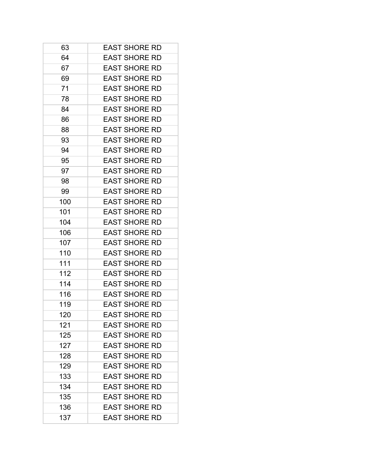| 63  | <b>EAST SHORE RD</b> |
|-----|----------------------|
| 64  | <b>EAST SHORE RD</b> |
| 67  | <b>EAST SHORE RD</b> |
| 69  | <b>EAST SHORE RD</b> |
| 71  | <b>EAST SHORE RD</b> |
| 78  | <b>EAST SHORE RD</b> |
| 84  | <b>EAST SHORE RD</b> |
| 86  | <b>EAST SHORE RD</b> |
| 88  | <b>EAST SHORE RD</b> |
| 93  | <b>EAST SHORE RD</b> |
| 94  | <b>EAST SHORE RD</b> |
| 95  | <b>EAST SHORE RD</b> |
| 97  | <b>EAST SHORE RD</b> |
| 98  | <b>EAST SHORE RD</b> |
| 99  | <b>EAST SHORE RD</b> |
| 100 | <b>EAST SHORE RD</b> |
| 101 | <b>EAST SHORE RD</b> |
| 104 | <b>EAST SHORE RD</b> |
| 106 | <b>EAST SHORE RD</b> |
| 107 | <b>EAST SHORE RD</b> |
| 110 | <b>EAST SHORE RD</b> |
| 111 | <b>EAST SHORE RD</b> |
| 112 | <b>EAST SHORE RD</b> |
| 114 | <b>EAST SHORE RD</b> |
| 116 | <b>EAST SHORE RD</b> |
| 119 | <b>EAST SHORE RD</b> |
| 120 | <b>EAST SHORE RD</b> |
| 121 | <b>EAST SHORE RD</b> |
| 125 | <b>EAST SHORE RD</b> |
| 127 | <b>EAST SHORE RD</b> |
| 128 | <b>EAST SHORE RD</b> |
| 129 | <b>EAST SHORE RD</b> |
| 133 | <b>EAST SHORE RD</b> |
| 134 | <b>EAST SHORE RD</b> |
| 135 | <b>EAST SHORE RD</b> |
| 136 | <b>EAST SHORE RD</b> |
| 137 | <b>EAST SHORE RD</b> |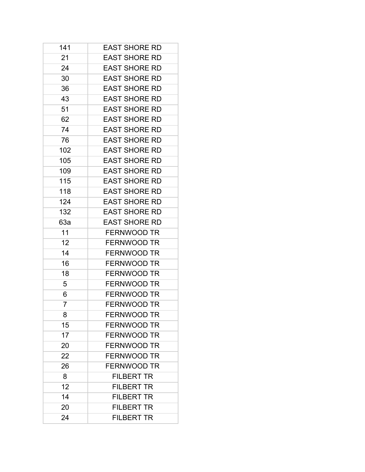| 141 | <b>EAST SHORE RD</b> |
|-----|----------------------|
| 21  | <b>EAST SHORE RD</b> |
| 24  | <b>EAST SHORE RD</b> |
| 30  | <b>EAST SHORE RD</b> |
| 36  | <b>EAST SHORE RD</b> |
| 43  | <b>EAST SHORE RD</b> |
| 51  | <b>EAST SHORE RD</b> |
| 62  | <b>EAST SHORE RD</b> |
| 74  | <b>EAST SHORE RD</b> |
| 76  | <b>EAST SHORE RD</b> |
| 102 | <b>EAST SHORE RD</b> |
| 105 | <b>EAST SHORE RD</b> |
| 109 | <b>EAST SHORE RD</b> |
| 115 | <b>EAST SHORE RD</b> |
| 118 | <b>EAST SHORE RD</b> |
| 124 | <b>EAST SHORE RD</b> |
| 132 | <b>EAST SHORE RD</b> |
| 63a | <b>EAST SHORE RD</b> |
| 11  | <b>FERNWOOD TR</b>   |
| 12  | <b>FERNWOOD TR</b>   |
| 14  | <b>FERNWOOD TR</b>   |
| 16  | <b>FERNWOOD TR</b>   |
| 18  | <b>FERNWOOD TR</b>   |
| 5   | <b>FERNWOOD TR</b>   |
| 6   | <b>FERNWOOD TR</b>   |
| 7   | <b>FERNWOOD TR</b>   |
| 8   | <b>FERNWOOD TR</b>   |
| 15  | <b>FERNWOOD TR</b>   |
| 17  | <b>FERNWOOD TR</b>   |
| 20  | <b>FERNWOOD TR</b>   |
| 22  | <b>FERNWOOD TR</b>   |
| 26  | <b>FERNWOOD TR</b>   |
| 8   | <b>FILBERT TR</b>    |
| 12  | <b>FILBERT TR</b>    |
| 14  | <b>FILBERT TR</b>    |
| 20  | <b>FILBERT TR</b>    |
| 24  | <b>FILBERT TR</b>    |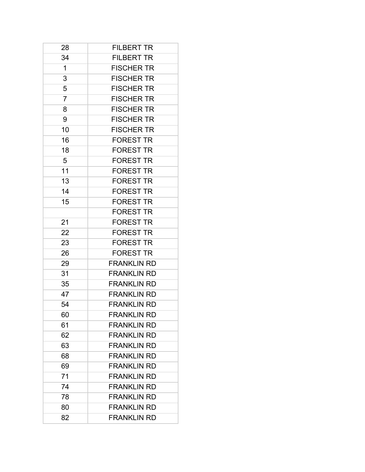| 28             | <b>FILBERT TR</b>  |
|----------------|--------------------|
| 34             | <b>FILBERT TR</b>  |
| 1              | <b>FISCHER TR</b>  |
| 3              | <b>FISCHER TR</b>  |
| 5              | <b>FISCHER TR</b>  |
| $\overline{7}$ | <b>FISCHER TR</b>  |
| 8              | <b>FISCHER TR</b>  |
| 9              | <b>FISCHER TR</b>  |
| 10             | <b>FISCHER TR</b>  |
| 16             | <b>FOREST TR</b>   |
| 18             | <b>FOREST TR</b>   |
| 5              | <b>FOREST TR</b>   |
| 11             | <b>FOREST TR</b>   |
| 13             | <b>FOREST TR</b>   |
| 14             | <b>FOREST TR</b>   |
| 15             | <b>FOREST TR</b>   |
|                | <b>FOREST TR</b>   |
| 21             | <b>FOREST TR</b>   |
| 22             | <b>FOREST TR</b>   |
| 23             | <b>FOREST TR</b>   |
| 26             | <b>FOREST TR</b>   |
| 29             | <b>FRANKLIN RD</b> |
| 31             | <b>FRANKLIN RD</b> |
| 35             | <b>FRANKLIN RD</b> |
| 47             | <b>FRANKLIN RD</b> |
| 54             | <b>FRANKLIN RD</b> |
| 60             | <b>FRANKLIN RD</b> |
| 61             | <b>FRANKLIN RD</b> |
| 62             | <b>FRANKLIN RD</b> |
| 63             | <b>FRANKLIN RD</b> |
| 68             | <b>FRANKLIN RD</b> |
| 69             | <b>FRANKLIN RD</b> |
| 71             | <b>FRANKLIN RD</b> |
| 74             | <b>FRANKLIN RD</b> |
| 78             | <b>FRANKLIN RD</b> |
| 80             | <b>FRANKLIN RD</b> |
| 82             | <b>FRANKLIN RD</b> |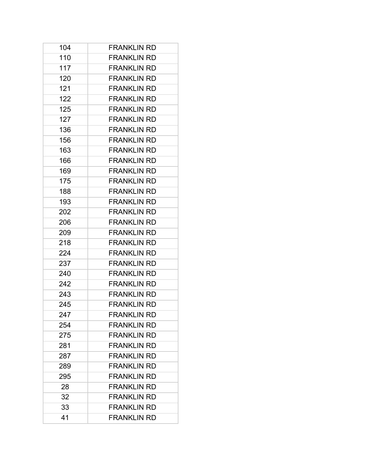| 104 | <b>FRANKLIN RD</b> |
|-----|--------------------|
| 110 | <b>FRANKLIN RD</b> |
| 117 | <b>FRANKLIN RD</b> |
| 120 | <b>FRANKLIN RD</b> |
| 121 | <b>FRANKLIN RD</b> |
| 122 | <b>FRANKLIN RD</b> |
| 125 | <b>FRANKLIN RD</b> |
| 127 | <b>FRANKLIN RD</b> |
| 136 | <b>FRANKLIN RD</b> |
| 156 | <b>FRANKLIN RD</b> |
| 163 | <b>FRANKLIN RD</b> |
| 166 | <b>FRANKLIN RD</b> |
| 169 | <b>FRANKLIN RD</b> |
| 175 | <b>FRANKLIN RD</b> |
| 188 | <b>FRANKLIN RD</b> |
| 193 | <b>FRANKLIN RD</b> |
| 202 | <b>FRANKLIN RD</b> |
| 206 | <b>FRANKLIN RD</b> |
| 209 | <b>FRANKLIN RD</b> |
| 218 | <b>FRANKLIN RD</b> |
| 224 | <b>FRANKLIN RD</b> |
| 237 | <b>FRANKLIN RD</b> |
| 240 | <b>FRANKLIN RD</b> |
| 242 | <b>FRANKLIN RD</b> |
| 243 | <b>FRANKLIN RD</b> |
| 245 | <b>FRANKLIN RD</b> |
| 247 | <b>FRANKLIN RD</b> |
| 254 | <b>FRANKLIN RD</b> |
| 275 | <b>FRANKLIN RD</b> |
| 281 | <b>FRANKLIN RD</b> |
| 287 | <b>FRANKLIN RD</b> |
| 289 | <b>FRANKLIN RD</b> |
| 295 | <b>FRANKLIN RD</b> |
| 28  | <b>FRANKLIN RD</b> |
| 32  | <b>FRANKLIN RD</b> |
| 33  | <b>FRANKLIN RD</b> |
| 41  | <b>FRANKLIN RD</b> |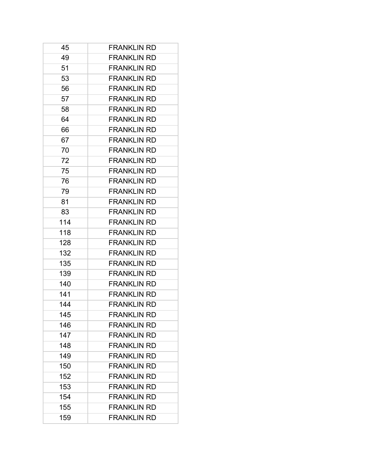| 45  | <b>FRANKLIN RD</b> |
|-----|--------------------|
| 49  | <b>FRANKLIN RD</b> |
| 51  | <b>FRANKLIN RD</b> |
| 53  | <b>FRANKLIN RD</b> |
| 56  | <b>FRANKLIN RD</b> |
| 57  | <b>FRANKLIN RD</b> |
| 58  | <b>FRANKLIN RD</b> |
| 64  | <b>FRANKLIN RD</b> |
| 66  | <b>FRANKLIN RD</b> |
| 67  | <b>FRANKLIN RD</b> |
| 70  | <b>FRANKLIN RD</b> |
| 72  | <b>FRANKLIN RD</b> |
| 75  | <b>FRANKLIN RD</b> |
| 76  | <b>FRANKLIN RD</b> |
| 79  | <b>FRANKLIN RD</b> |
| 81  | <b>FRANKLIN RD</b> |
| 83  | <b>FRANKLIN RD</b> |
| 114 | <b>FRANKLIN RD</b> |
| 118 | <b>FRANKLIN RD</b> |
| 128 | <b>FRANKLIN RD</b> |
| 132 | <b>FRANKLIN RD</b> |
| 135 | <b>FRANKLIN RD</b> |
| 139 | <b>FRANKLIN RD</b> |
| 140 | <b>FRANKLIN RD</b> |
| 141 | <b>FRANKLIN RD</b> |
| 144 | <b>FRANKLIN RD</b> |
| 145 | <b>FRANKLIN RD</b> |
| 146 | <b>FRANKLIN RD</b> |
| 147 | <b>FRANKLIN RD</b> |
| 148 | <b>FRANKLIN RD</b> |
| 149 | <b>FRANKLIN RD</b> |
| 150 | <b>FRANKLIN RD</b> |
| 152 | <b>FRANKLIN RD</b> |
| 153 | <b>FRANKLIN RD</b> |
| 154 | <b>FRANKLIN RD</b> |
| 155 | <b>FRANKLIN RD</b> |
| 159 | <b>FRANKLIN RD</b> |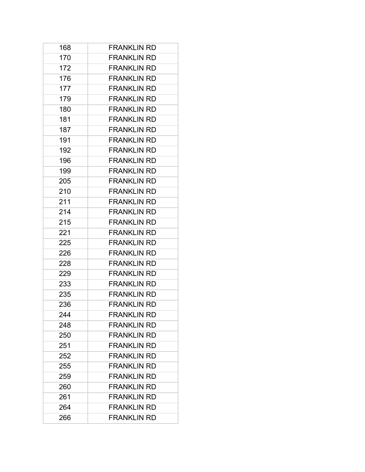| 168 | <b>FRANKLIN RD</b> |
|-----|--------------------|
| 170 | <b>FRANKLIN RD</b> |
| 172 | <b>FRANKLIN RD</b> |
| 176 | <b>FRANKLIN RD</b> |
| 177 | <b>FRANKLIN RD</b> |
| 179 | <b>FRANKLIN RD</b> |
| 180 | <b>FRANKLIN RD</b> |
| 181 | <b>FRANKLIN RD</b> |
| 187 | <b>FRANKLIN RD</b> |
| 191 | <b>FRANKLIN RD</b> |
| 192 | <b>FRANKLIN RD</b> |
| 196 | <b>FRANKLIN RD</b> |
| 199 | <b>FRANKLIN RD</b> |
| 205 | <b>FRANKLIN RD</b> |
| 210 | <b>FRANKLIN RD</b> |
| 211 | <b>FRANKLIN RD</b> |
| 214 | <b>FRANKLIN RD</b> |
| 215 | <b>FRANKLIN RD</b> |
| 221 | <b>FRANKLIN RD</b> |
| 225 | <b>FRANKLIN RD</b> |
| 226 | <b>FRANKLIN RD</b> |
| 228 | <b>FRANKLIN RD</b> |
| 229 | <b>FRANKLIN RD</b> |
| 233 | <b>FRANKLIN RD</b> |
| 235 | <b>FRANKLIN RD</b> |
| 236 | <b>FRANKLIN RD</b> |
| 244 | <b>FRANKLIN RD</b> |
| 248 | <b>FRANKLIN RD</b> |
| 250 | <b>FRANKLIN RD</b> |
| 251 | <b>FRANKLIN RD</b> |
| 252 | <b>FRANKLIN RD</b> |
| 255 | <b>FRANKLIN RD</b> |
| 259 | <b>FRANKLIN RD</b> |
| 260 | <b>FRANKLIN RD</b> |
| 261 | <b>FRANKLIN RD</b> |
| 264 | <b>FRANKLIN RD</b> |
| 266 | <b>FRANKLIN RD</b> |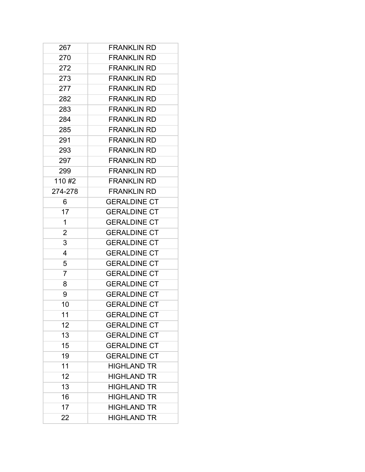| 267     | <b>FRANKLIN RD</b>  |
|---------|---------------------|
| 270     | <b>FRANKLIN RD</b>  |
| 272     | <b>FRANKLIN RD</b>  |
| 273     | <b>FRANKLIN RD</b>  |
| 277     | <b>FRANKLIN RD</b>  |
| 282     | <b>FRANKLIN RD</b>  |
| 283     | <b>FRANKLIN RD</b>  |
| 284     | <b>FRANKLIN RD</b>  |
| 285     | <b>FRANKLIN RD</b>  |
| 291     | <b>FRANKLIN RD</b>  |
| 293     | <b>FRANKLIN RD</b>  |
| 297     | <b>FRANKLIN RD</b>  |
| 299     | <b>FRANKLIN RD</b>  |
| 110#2   | <b>FRANKLIN RD</b>  |
| 274-278 | <b>FRANKLIN RD</b>  |
| 6       | <b>GERALDINE CT</b> |
| 17      | <b>GERALDINE CT</b> |
| 1       | <b>GERALDINE CT</b> |
| 2       | <b>GERALDINE CT</b> |
| 3       | <b>GERALDINE CT</b> |
| 4       | <b>GERALDINE CT</b> |
| 5       | <b>GERALDINE CT</b> |
| 7       | <b>GERALDINE CT</b> |
| 8       | <b>GERALDINE CT</b> |
| 9       | <b>GERALDINE CT</b> |
| 10      | <b>GERALDINE CT</b> |
| 11      | <b>GERALDINE CT</b> |
| 12      | <b>GERALDINE CT</b> |
| 13      | <b>GERALDINE CT</b> |
| 15      | <b>GERALDINE CT</b> |
| 19      | <b>GERALDINE CT</b> |
| 11      | <b>HIGHLAND TR</b>  |
| 12      | <b>HIGHLAND TR</b>  |
| 13      | <b>HIGHLAND TR</b>  |
| 16      | <b>HIGHLAND TR</b>  |
| 17      | <b>HIGHLAND TR</b>  |
| 22      | <b>HIGHLAND TR</b>  |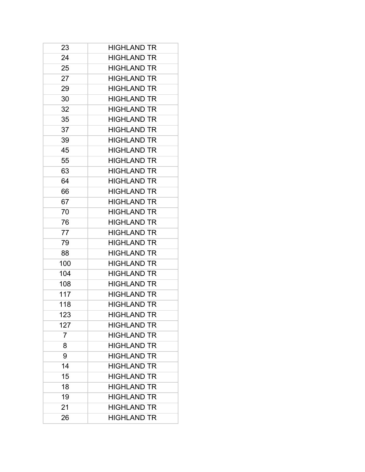| 23             | <b>HIGHLAND TR</b> |
|----------------|--------------------|
| 24             | <b>HIGHLAND TR</b> |
| 25             | <b>HIGHLAND TR</b> |
| 27             | <b>HIGHLAND TR</b> |
| 29             | <b>HIGHLAND TR</b> |
| 30             | <b>HIGHLAND TR</b> |
| 32             | <b>HIGHLAND TR</b> |
| 35             | <b>HIGHLAND TR</b> |
| 37             | <b>HIGHLAND TR</b> |
| 39             | <b>HIGHLAND TR</b> |
| 45             | <b>HIGHLAND TR</b> |
| 55             | <b>HIGHLAND TR</b> |
| 63             | <b>HIGHLAND TR</b> |
| 64             | <b>HIGHLAND TR</b> |
| 66             | <b>HIGHLAND TR</b> |
| 67             | <b>HIGHLAND TR</b> |
| 70             | <b>HIGHLAND TR</b> |
| 76             | <b>HIGHLAND TR</b> |
| 77             | <b>HIGHLAND TR</b> |
| 79             | <b>HIGHLAND TR</b> |
| 88             | <b>HIGHLAND TR</b> |
| 100            | <b>HIGHLAND TR</b> |
| 104            | <b>HIGHLAND TR</b> |
| 108            | <b>HIGHLAND TR</b> |
| 117            | <b>HIGHLAND TR</b> |
| 118            | <b>HIGHLAND TR</b> |
| 123            | <b>HIGHLAND TR</b> |
| 127            | <b>HIGHLAND TR</b> |
| $\overline{7}$ | <b>HIGHLAND TR</b> |
| 8              | <b>HIGHLAND TR</b> |
| 9              | <b>HIGHLAND TR</b> |
| 14             | <b>HIGHLAND TR</b> |
| 15             | <b>HIGHLAND TR</b> |
| 18             | <b>HIGHLAND TR</b> |
| 19             | <b>HIGHLAND TR</b> |
| 21             | <b>HIGHLAND TR</b> |
| 26             | <b>HIGHLAND TR</b> |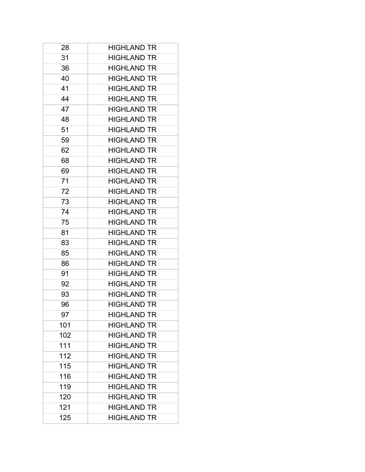| 28  | <b>HIGHLAND TR</b> |
|-----|--------------------|
| 31  | <b>HIGHLAND TR</b> |
| 36  | <b>HIGHLAND TR</b> |
| 40  | <b>HIGHLAND TR</b> |
| 41  | <b>HIGHLAND TR</b> |
| 44  | <b>HIGHLAND TR</b> |
| 47  | <b>HIGHLAND TR</b> |
| 48  | <b>HIGHLAND TR</b> |
| 51  | <b>HIGHLAND TR</b> |
| 59  | <b>HIGHLAND TR</b> |
| 62  | <b>HIGHLAND TR</b> |
| 68  | <b>HIGHLAND TR</b> |
| 69  | <b>HIGHLAND TR</b> |
| 71  | <b>HIGHLAND TR</b> |
| 72  | <b>HIGHLAND TR</b> |
| 73  | <b>HIGHLAND TR</b> |
| 74  | <b>HIGHLAND TR</b> |
| 75  | <b>HIGHLAND TR</b> |
| 81  | <b>HIGHLAND TR</b> |
| 83  | <b>HIGHLAND TR</b> |
| 85  | <b>HIGHLAND TR</b> |
| 86  | <b>HIGHLAND TR</b> |
| 91  | <b>HIGHLAND TR</b> |
| 92  | <b>HIGHLAND TR</b> |
| 93  | <b>HIGHLAND TR</b> |
| 96  | <b>HIGHLAND TR</b> |
| 97  | <b>HIGHLAND TR</b> |
| 101 | <b>HIGHLAND TR</b> |
| 102 | <b>HIGHLAND TR</b> |
| 111 | <b>HIGHLAND TR</b> |
| 112 | <b>HIGHLAND TR</b> |
| 115 | <b>HIGHLAND TR</b> |
| 116 | <b>HIGHLAND TR</b> |
| 119 | <b>HIGHLAND TR</b> |
| 120 | <b>HIGHLAND TR</b> |
| 121 | <b>HIGHLAND TR</b> |
| 125 | <b>HIGHLAND TR</b> |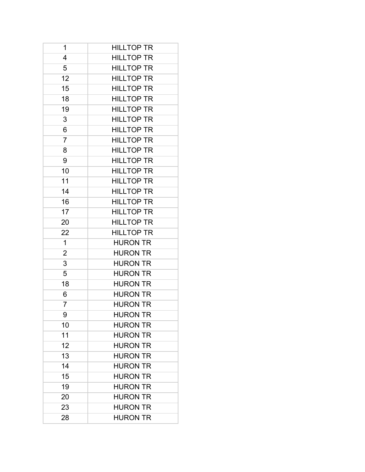| 1              | <b>HILLTOP TR</b> |
|----------------|-------------------|
| 4              | <b>HILLTOP TR</b> |
| 5              | <b>HILLTOP TR</b> |
| 12             | <b>HILLTOP TR</b> |
| 15             | <b>HILLTOP TR</b> |
| 18             | <b>HILLTOP TR</b> |
| 19             | <b>HILLTOP TR</b> |
| 3              | <b>HILLTOP TR</b> |
| 6              | <b>HILLTOP TR</b> |
| $\overline{7}$ | <b>HILLTOP TR</b> |
| 8              | <b>HILLTOP TR</b> |
| 9              | <b>HILLTOP TR</b> |
| 10             | <b>HILLTOP TR</b> |
| 11             | <b>HILLTOP TR</b> |
| 14             | <b>HILLTOP TR</b> |
| 16             | <b>HILLTOP TR</b> |
| 17             | <b>HILLTOP TR</b> |
| 20             | <b>HILLTOP TR</b> |
| 22             | <b>HILLTOP TR</b> |
| 1              | <b>HURON TR</b>   |
| 2              | <b>HURON TR</b>   |
| 3              | <b>HURON TR</b>   |
| 5              | <b>HURON TR</b>   |
| 18             | <b>HURON TR</b>   |
| 6              | <b>HURON TR</b>   |
| 7              | <b>HURON TR</b>   |
| 9              | <b>HURON TR</b>   |
| 10             | <b>HURON TR</b>   |
| 11             | <b>HURON TR</b>   |
| 12             | <b>HURON TR</b>   |
| 13             | <b>HURON TR</b>   |
| 14             | <b>HURON TR</b>   |
| 15             | <b>HURON TR</b>   |
| 19             | <b>HURON TR</b>   |
| 20             | <b>HURON TR</b>   |
| 23             | <b>HURON TR</b>   |
| 28             | <b>HURON TR</b>   |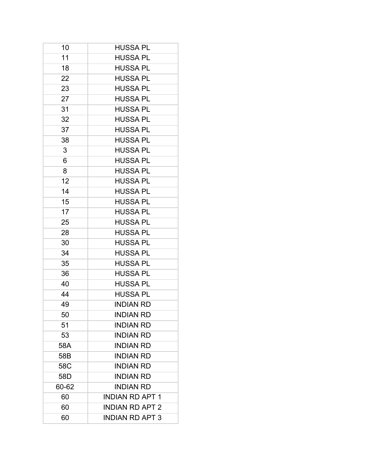| 10    | HUSSA PL               |
|-------|------------------------|
| 11    | <b>HUSSA PL</b>        |
| 18    | <b>HUSSA PL</b>        |
| 22    | <b>HUSSA PL</b>        |
| 23    | <b>HUSSA PL</b>        |
| 27    | <b>HUSSA PL</b>        |
| 31    | HUSSA PL               |
| 32    | <b>HUSSA PL</b>        |
| 37    | <b>HUSSA PL</b>        |
| 38    | <b>HUSSA PL</b>        |
| 3     | <b>HUSSA PL</b>        |
| 6     | <b>HUSSA PL</b>        |
| 8     | <b>HUSSA PL</b>        |
| 12    | <b>HUSSA PL</b>        |
| 14    | <b>HUSSA PL</b>        |
| 15    | <b>HUSSA PL</b>        |
| 17    | <b>HUSSA PL</b>        |
| 25    | <b>HUSSA PL</b>        |
| 28    | <b>HUSSA PL</b>        |
| 30    | <b>HUSSA PL</b>        |
| 34    | <b>HUSSA PL</b>        |
| 35    | <b>HUSSA PL</b>        |
| 36    | HUSSA PL               |
| 40    | <b>HUSSA PL</b>        |
| 44    | <b>HUSSA PL</b>        |
| 49    | <b>INDIAN RD</b>       |
| 50    | <b>INDIAN RD</b>       |
| 51    | <b>INDIAN RD</b>       |
| 53    | <b>INDIAN RD</b>       |
| 58A   | <b>INDIAN RD</b>       |
| 58B   | <b>INDIAN RD</b>       |
| 58C   | <b>INDIAN RD</b>       |
| 58D   | <b>INDIAN RD</b>       |
| 60-62 | <b>INDIAN RD</b>       |
| 60    | <b>INDIAN RD APT 1</b> |
| 60    | <b>INDIAN RD APT 2</b> |
| 60    | <b>INDIAN RD APT 3</b> |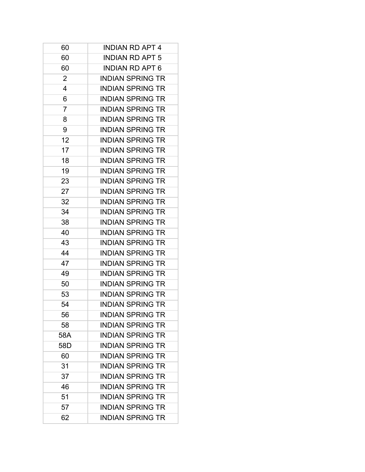| 60  | <b>INDIAN RD APT 4</b>  |
|-----|-------------------------|
| 60  | <b>INDIAN RD APT 5</b>  |
| 60  | <b>INDIAN RD APT 6</b>  |
| 2   | <b>INDIAN SPRING TR</b> |
| 4   | <b>INDIAN SPRING TR</b> |
| 6   | <b>INDIAN SPRING TR</b> |
| 7   | <b>INDIAN SPRING TR</b> |
| 8   | <b>INDIAN SPRING TR</b> |
| 9   | <b>INDIAN SPRING TR</b> |
| 12  | <b>INDIAN SPRING TR</b> |
| 17  | <b>INDIAN SPRING TR</b> |
| 18  | <b>INDIAN SPRING TR</b> |
| 19  | <b>INDIAN SPRING TR</b> |
| 23  | <b>INDIAN SPRING TR</b> |
| 27  | <b>INDIAN SPRING TR</b> |
| 32  | <b>INDIAN SPRING TR</b> |
| 34  | <b>INDIAN SPRING TR</b> |
| 38  | <b>INDIAN SPRING TR</b> |
| 40  | <b>INDIAN SPRING TR</b> |
| 43  | <b>INDIAN SPRING TR</b> |
| 44  | <b>INDIAN SPRING TR</b> |
| 47  | <b>INDIAN SPRING TR</b> |
| 49  | <b>INDIAN SPRING TR</b> |
| 50  | <b>INDIAN SPRING TR</b> |
| 53  | <b>INDIAN SPRING TR</b> |
| 54  | <b>INDIAN SPRING TR</b> |
| 56  | <b>INDIAN SPRING TR</b> |
| 58  | <b>INDIAN SPRING TR</b> |
| 58A | <b>INDIAN SPRING TR</b> |
| 58D | <b>INDIAN SPRING TR</b> |
| 60  | <b>INDIAN SPRING TR</b> |
| 31  | <b>INDIAN SPRING TR</b> |
| 37  | <b>INDIAN SPRING TR</b> |
| 46  | <b>INDIAN SPRING TR</b> |
| 51  | <b>INDIAN SPRING TR</b> |
| 57  | <b>INDIAN SPRING TR</b> |
| 62  | <b>INDIAN SPRING TR</b> |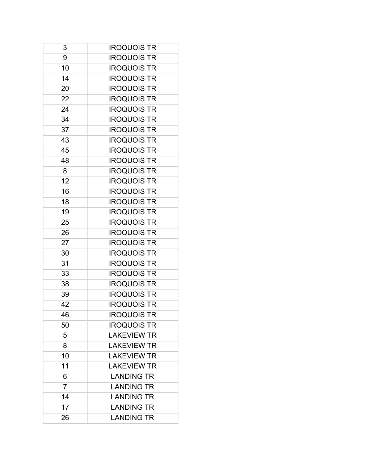| 3              | <b>IROQUOIS TR</b> |
|----------------|--------------------|
| 9              | <b>IROQUOIS TR</b> |
| 10             | <b>IROQUOIS TR</b> |
| 14             | <b>IROQUOIS TR</b> |
| 20             | <b>IROQUOIS TR</b> |
| 22             | <b>IROQUOIS TR</b> |
| 24             | <b>IROQUOIS TR</b> |
| 34             | <b>IROQUOIS TR</b> |
| 37             | <b>IROQUOIS TR</b> |
| 43             | <b>IROQUOIS TR</b> |
| 45             | <b>IROQUOIS TR</b> |
| 48             | <b>IROQUOIS TR</b> |
| 8              | <b>IROQUOIS TR</b> |
| 12             | <b>IROQUOIS TR</b> |
| 16             | <b>IROQUOIS TR</b> |
| 18             | <b>IROQUOIS TR</b> |
| 19             | <b>IROQUOIS TR</b> |
| 25             | <b>IROQUOIS TR</b> |
| 26             | <b>IROQUOIS TR</b> |
| 27             | <b>IROQUOIS TR</b> |
| 30             | <b>IROQUOIS TR</b> |
| 31             | <b>IROQUOIS TR</b> |
| 33             | <b>IROQUOIS TR</b> |
| 38             | <b>IROQUOIS TR</b> |
| 39             | <b>IROQUOIS TR</b> |
| 42             | <b>IROQUOIS TR</b> |
| 46             | <b>IROQUOIS TR</b> |
| 50             | <b>IROQUOIS TR</b> |
| 5              | <b>LAKEVIEW TR</b> |
| 8              | <b>LAKEVIEW TR</b> |
| 10             | <b>LAKEVIEW TR</b> |
| 11             | <b>LAKEVIEW TR</b> |
| 6              | <b>LANDING TR</b>  |
| $\overline{7}$ | <b>LANDING TR</b>  |
| 14             | <b>LANDING TR</b>  |
| 17             | <b>LANDING TR</b>  |
| 26             | <b>LANDING TR</b>  |
|                |                    |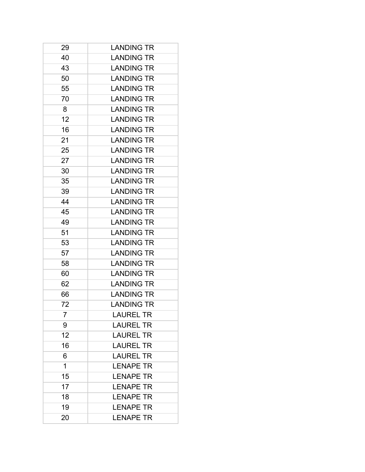| 29 | <b>LANDING TR</b> |
|----|-------------------|
| 40 | <b>LANDING TR</b> |
| 43 | <b>LANDING TR</b> |
| 50 | <b>LANDING TR</b> |
| 55 | <b>LANDING TR</b> |
| 70 | <b>LANDING TR</b> |
| 8  | <b>LANDING TR</b> |
| 12 | <b>LANDING TR</b> |
| 16 | <b>LANDING TR</b> |
| 21 | <b>LANDING TR</b> |
| 25 | <b>LANDING TR</b> |
| 27 | <b>LANDING TR</b> |
| 30 | <b>LANDING TR</b> |
| 35 | <b>LANDING TR</b> |
| 39 | <b>LANDING TR</b> |
| 44 | <b>LANDING TR</b> |
| 45 | <b>LANDING TR</b> |
| 49 | <b>LANDING TR</b> |
| 51 | <b>LANDING TR</b> |
| 53 | <b>LANDING TR</b> |
| 57 | <b>LANDING TR</b> |
| 58 | <b>LANDING TR</b> |
| 60 | <b>LANDING TR</b> |
| 62 | <b>LANDING TR</b> |
| 66 | <b>LANDING TR</b> |
| 72 | <b>LANDING TR</b> |
| 7  | <b>LAUREL TR</b>  |
| 9  | <b>LAUREL TR</b>  |
| 12 | <b>LAUREL TR</b>  |
| 16 | <b>LAUREL TR</b>  |
| 6  | <b>LAUREL TR</b>  |
| 1  | <b>LENAPE TR</b>  |
| 15 | <b>LENAPE TR</b>  |
| 17 | <b>LENAPE TR</b>  |
| 18 | <b>LENAPE TR</b>  |
| 19 | <b>LENAPE TR</b>  |
| 20 | <b>LENAPE TR</b>  |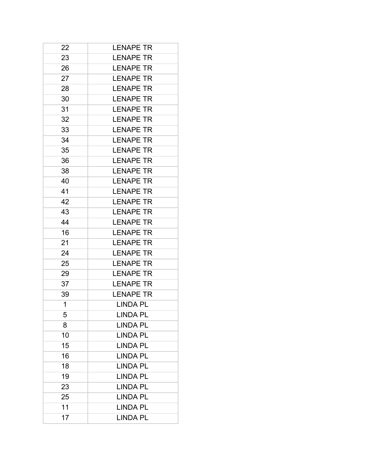| 22 | <b>LENAPE TR</b> |
|----|------------------|
| 23 | <b>LENAPE TR</b> |
| 26 | <b>LENAPE TR</b> |
| 27 | <b>LENAPE TR</b> |
| 28 | <b>LENAPE TR</b> |
| 30 | <b>LENAPE TR</b> |
| 31 | <b>LENAPE TR</b> |
| 32 | <b>LENAPE TR</b> |
| 33 | <b>LENAPE TR</b> |
| 34 | <b>LENAPE TR</b> |
| 35 | <b>LENAPE TR</b> |
| 36 | <b>LENAPE TR</b> |
| 38 | <b>LENAPE TR</b> |
| 40 | <b>LENAPE TR</b> |
| 41 | <b>LENAPE TR</b> |
| 42 | <b>LENAPE TR</b> |
| 43 | <b>LENAPE TR</b> |
| 44 | <b>LENAPE TR</b> |
| 16 | <b>LENAPE TR</b> |
| 21 | <b>LENAPE TR</b> |
| 24 | <b>LENAPE TR</b> |
| 25 | <b>LENAPE TR</b> |
| 29 | <b>LENAPE TR</b> |
| 37 | <b>LENAPE TR</b> |
| 39 | <b>LENAPE TR</b> |
| 1  | <b>LINDA PL</b>  |
| 5  | <b>LINDA PL</b>  |
| 8  | <b>LINDA PL</b>  |
| 10 | <b>LINDA PL</b>  |
| 15 | <b>LINDA PL</b>  |
| 16 | <b>LINDA PL</b>  |
| 18 | <b>LINDA PL</b>  |
| 19 | <b>LINDA PL</b>  |
| 23 | <b>LINDA PL</b>  |
| 25 | <b>LINDA PL</b>  |
| 11 | <b>LINDA PL</b>  |
| 17 | <b>LINDA PL</b>  |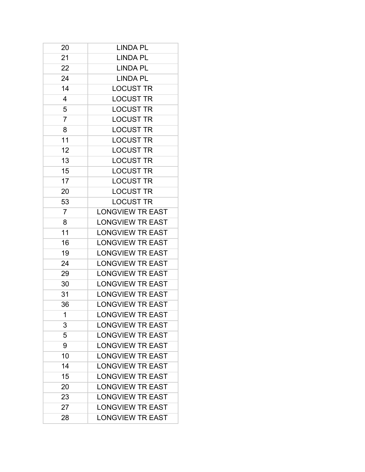| 20             | <b>LINDA PL</b>         |
|----------------|-------------------------|
| 21             | <b>LINDA PL</b>         |
| 22             | <b>LINDA PL</b>         |
| 24             | <b>LINDA PL</b>         |
| 14             | <b>LOCUST TR</b>        |
| 4              | <b>LOCUST TR</b>        |
| 5              | <b>LOCUST TR</b>        |
| $\overline{7}$ | <b>LOCUST TR</b>        |
| 8              | <b>LOCUST TR</b>        |
| 11             | <b>LOCUST TR</b>        |
| 12             | <b>LOCUST TR</b>        |
| 13             | <b>LOCUST TR</b>        |
| 15             | <b>LOCUST TR</b>        |
| 17             | <b>LOCUST TR</b>        |
| 20             | <b>LOCUST TR</b>        |
| 53             | <b>LOCUST TR</b>        |
| $\overline{7}$ | <b>LONGVIEW TR EAST</b> |
| 8              | <b>LONGVIEW TR EAST</b> |
| 11             | <b>LONGVIEW TR EAST</b> |
| 16             | <b>LONGVIEW TR EAST</b> |
| 19             | <b>LONGVIEW TR EAST</b> |
| 24             | <b>LONGVIEW TR EAST</b> |
| 29             | <b>LONGVIEW TR EAST</b> |
| 30             | <b>LONGVIEW TR EAST</b> |
| 31             | <b>LONGVIEW TR EAST</b> |
| 36             | <b>LONGVIEW TR EAST</b> |
| 1              | <b>LONGVIEW TR EAST</b> |
| 3              | <b>LONGVIEW TR EAST</b> |
| 5              | <b>LONGVIEW TR EAST</b> |
| 9              | <b>LONGVIEW TR EAST</b> |
| 10             | <b>LONGVIEW TR EAST</b> |
| 14             | <b>LONGVIEW TR EAST</b> |
| 15             | <b>LONGVIEW TR EAST</b> |
| 20             | <b>LONGVIEW TR EAST</b> |
| 23             | <b>LONGVIEW TR EAST</b> |
| 27             | <b>LONGVIEW TR EAST</b> |
| 28             | <b>LONGVIEW TR EAST</b> |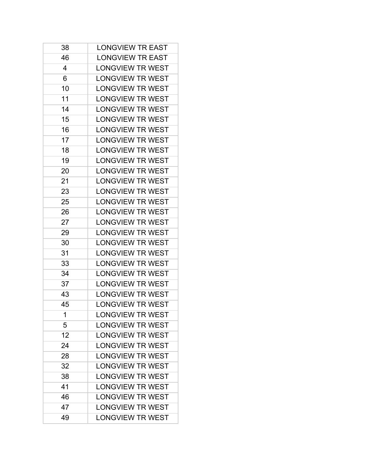| 38 | <b>LONGVIEW TR EAST</b> |
|----|-------------------------|
| 46 | <b>LONGVIEW TR EAST</b> |
| 4  | <b>LONGVIEW TR WEST</b> |
| 6  | <b>LONGVIEW TR WEST</b> |
| 10 | <b>LONGVIEW TR WEST</b> |
| 11 | <b>LONGVIEW TR WEST</b> |
| 14 | <b>LONGVIEW TR WEST</b> |
| 15 | <b>LONGVIEW TR WEST</b> |
| 16 | <b>LONGVIEW TR WEST</b> |
| 17 | <b>LONGVIEW TR WEST</b> |
| 18 | <b>LONGVIEW TR WEST</b> |
| 19 | LONGVIEW TR WEST        |
| 20 | <b>LONGVIEW TR WEST</b> |
| 21 | <b>LONGVIEW TR WEST</b> |
| 23 | <b>LONGVIEW TR WEST</b> |
| 25 | <b>LONGVIEW TR WEST</b> |
| 26 | <b>LONGVIEW TR WEST</b> |
| 27 | <b>LONGVIEW TR WEST</b> |
| 29 | <b>LONGVIEW TR WEST</b> |
| 30 | <b>LONGVIEW TR WEST</b> |
| 31 | <b>LONGVIEW TR WEST</b> |
| 33 | <b>LONGVIEW TR WEST</b> |
| 34 | <b>LONGVIEW TR WEST</b> |
| 37 | <b>LONGVIEW TR WEST</b> |
| 43 | <b>LONGVIEW TR WEST</b> |
| 45 | <b>LONGVIEW TR WEST</b> |
| 1  | <b>LONGVIEW TR WEST</b> |
| 5  | <b>LONGVIEW TR WEST</b> |
| 12 | <b>LONGVIEW TR WEST</b> |
| 24 | <b>LONGVIEW TR WEST</b> |
| 28 | <b>LONGVIEW TR WEST</b> |
| 32 | <b>LONGVIEW TR WEST</b> |
| 38 | <b>LONGVIEW TR WEST</b> |
| 41 | <b>LONGVIEW TR WEST</b> |
| 46 | <b>LONGVIEW TR WEST</b> |
| 47 | <b>LONGVIEW TR WEST</b> |
| 49 | <b>LONGVIEW TR WEST</b> |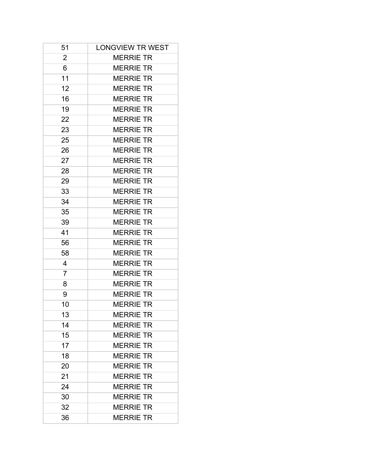| 51             | <b>LONGVIEW TR WEST</b> |
|----------------|-------------------------|
| 2              | <b>MERRIE TR</b>        |
| 6              | <b>MERRIE TR</b>        |
| 11             | <b>MERRIE TR</b>        |
| 12             | <b>MERRIE TR</b>        |
| 16             | <b>MERRIE TR</b>        |
| 19             | <b>MERRIE TR</b>        |
| 22             | <b>MERRIE TR</b>        |
| 23             | <b>MERRIE TR</b>        |
| 25             | <b>MERRIE TR</b>        |
| 26             | <b>MERRIE TR</b>        |
| 27             | <b>MERRIE TR</b>        |
| 28             | <b>MERRIE TR</b>        |
| 29             | <b>MERRIE TR</b>        |
| 33             | <b>MERRIE TR</b>        |
| 34             | <b>MERRIE TR</b>        |
| 35             | <b>MERRIE TR</b>        |
| 39             | <b>MERRIE TR</b>        |
| 41             | <b>MERRIE TR</b>        |
| 56             | <b>MERRIE TR</b>        |
| 58             | <b>MERRIE TR</b>        |
| 4              | <b>MERRIE TR</b>        |
| $\overline{7}$ | <b>MERRIE TR</b>        |
| 8              | <b>MERRIE TR</b>        |
| 9              | <b>MERRIE TR</b>        |
| 10             | <b>MERRIE TR</b>        |
| 13             | <b>MERRIE TR</b>        |
| 14             | <b>MERRIE TR</b>        |
| 15             | <b>MERRIE TR</b>        |
| 17             | <b>MERRIE TR</b>        |
| 18             | <b>MERRIE TR</b>        |
| 20             | <b>MERRIE TR</b>        |
| 21             | <b>MERRIE TR</b>        |
| 24             | <b>MERRIE TR</b>        |
| 30             | <b>MERRIE TR</b>        |
| 32             | <b>MERRIE TR</b>        |
| 36             | <b>MERRIE TR</b>        |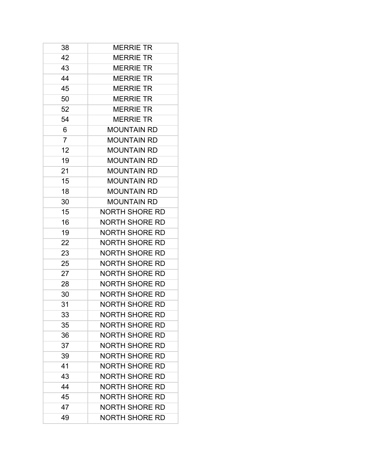| 38             | <b>MERRIE TR</b>      |
|----------------|-----------------------|
| 42             | <b>MERRIE TR</b>      |
| 43             | <b>MERRIE TR</b>      |
| 44             | <b>MERRIE TR</b>      |
| 45             | <b>MERRIE TR</b>      |
| 50             | <b>MERRIE TR</b>      |
| 52             | <b>MERRIE TR</b>      |
| 54             | <b>MERRIE TR</b>      |
| 6              | <b>MOUNTAIN RD</b>    |
| $\overline{7}$ | <b>MOUNTAIN RD</b>    |
| 12             | <b>MOUNTAIN RD</b>    |
| 19             | <b>MOUNTAIN RD</b>    |
| 21             | <b>MOUNTAIN RD</b>    |
| 15             | <b>MOUNTAIN RD</b>    |
| 18             | <b>MOUNTAIN RD</b>    |
| 30             | <b>MOUNTAIN RD</b>    |
| 15             | <b>NORTH SHORE RD</b> |
| 16             | NORTH SHORE RD        |
| 19             | <b>NORTH SHORE RD</b> |
| 22             | <b>NORTH SHORE RD</b> |
| 23             | <b>NORTH SHORE RD</b> |
| 25             | NORTH SHORE RD        |
| 27             | NORTH SHORE RD        |
| 28             | <b>NORTH SHORE RD</b> |
| 30             | NORTH SHORE RD        |
| 31             | NORTH SHORE RD        |
| 33             | NORTH SHORE RD        |
| 35             | NORTH SHORE RD        |
| 36             | NORTH SHORE RD        |
| 37             | NORTH SHORE RD        |
| 39             | NORTH SHORE RD        |
| 41             | NORTH SHORE RD        |
| 43             | NORTH SHORE RD        |
| 44             | NORTH SHORE RD        |
| 45             | <b>NORTH SHORE RD</b> |
| 47             | NORTH SHORE RD        |
| 49             | NORTH SHORE RD        |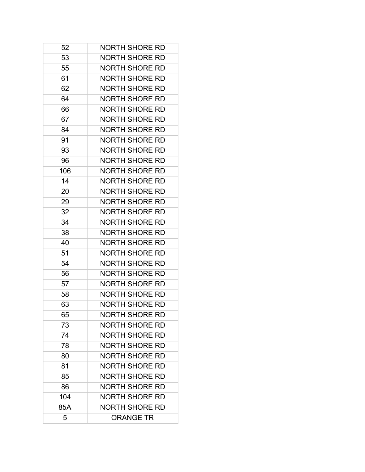| 52  | NORTH SHORE RD        |
|-----|-----------------------|
| 53  | <b>NORTH SHORE RD</b> |
| 55  | NORTH SHORE RD        |
| 61  | NORTH SHORE RD        |
| 62  | <b>NORTH SHORE RD</b> |
|     | <b>NORTH SHORE RD</b> |
| 64  |                       |
| 66  | <b>NORTH SHORE RD</b> |
| 67  | <b>NORTH SHORE RD</b> |
| 84  | <b>NORTH SHORE RD</b> |
| 91  | <b>NORTH SHORE RD</b> |
| 93  | NORTH SHORE RD        |
| 96  | <b>NORTH SHORE RD</b> |
| 106 | <b>NORTH SHORE RD</b> |
| 14  | <b>NORTH SHORE RD</b> |
| 20  | <b>NORTH SHORE RD</b> |
| 29  | <b>NORTH SHORE RD</b> |
| 32  | <b>NORTH SHORE RD</b> |
| 34  | <b>NORTH SHORE RD</b> |
| 38  | NORTH SHORE RD        |
| 40  | NORTH SHORE RD        |
| 51  | <b>NORTH SHORE RD</b> |
| 54  | <b>NORTH SHORE RD</b> |
| 56  | <b>NORTH SHORE RD</b> |
| 57  | <b>NORTH SHORE RD</b> |
| 58  | <b>NORTH SHORE RD</b> |
| 63  | <b>NORTH SHORE RD</b> |
| 65  | <b>NORTH SHORE RD</b> |
| 73  | <b>NORTH SHORE RD</b> |
| 74  | NORTH SHORE RD        |
| 78  | NORTH SHORE RD        |
| 80  | NORTH SHORE RD        |
| 81  | <b>NORTH SHORE RD</b> |
| 85  | <b>NORTH SHORE RD</b> |
| 86  | NORTH SHORE RD        |
| 104 | NORTH SHORE RD        |
| 85A | NORTH SHORE RD        |
| 5   | <b>ORANGE TR</b>      |
|     |                       |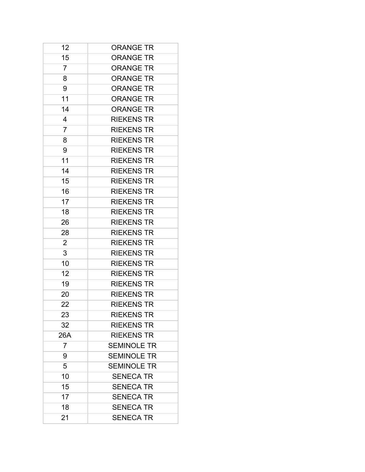| 12             | <b>ORANGE TR</b>   |
|----------------|--------------------|
| 15             | <b>ORANGE TR</b>   |
| $\overline{7}$ | <b>ORANGE TR</b>   |
| 8              | <b>ORANGE TR</b>   |
| 9              | <b>ORANGE TR</b>   |
| 11             | <b>ORANGE TR</b>   |
| 14             | <b>ORANGE TR</b>   |
| 4              | <b>RIEKENS TR</b>  |
| 7              | <b>RIEKENS TR</b>  |
| 8              | <b>RIEKENS TR</b>  |
| 9              | <b>RIEKENS TR</b>  |
| 11             | <b>RIEKENS TR</b>  |
| 14             | <b>RIEKENS TR</b>  |
| 15             | <b>RIEKENS TR</b>  |
| 16             | <b>RIEKENS TR</b>  |
|                |                    |
| 17             | <b>RIEKENS TR</b>  |
| 18             | <b>RIEKENS TR</b>  |
| 26             | <b>RIEKENS TR</b>  |
| 28             | <b>RIEKENS TR</b>  |
| 2              | <b>RIEKENS TR</b>  |
| 3              | <b>RIEKENS TR</b>  |
| 10             | <b>RIEKENS TR</b>  |
| 12             | <b>RIEKENS TR</b>  |
| 19             | <b>RIEKENS TR</b>  |
| 20             | <b>RIEKENS TR</b>  |
| 22             | <b>RIEKENS TR</b>  |
| 23             | <b>RIEKENS TR</b>  |
| 32             | <b>RIEKENS TR</b>  |
| 26A            | <b>RIEKENS TR</b>  |
| $\overline{7}$ | <b>SEMINOLE TR</b> |
| 9              | <b>SEMINOLE TR</b> |
| 5              | <b>SEMINOLE TR</b> |
| 10             | <b>SENECA TR</b>   |
| 15             | <b>SENECA TR</b>   |
| 17             | <b>SENECA TR</b>   |
| 18             | <b>SENECA TR</b>   |
| 21             | <b>SENECA TR</b>   |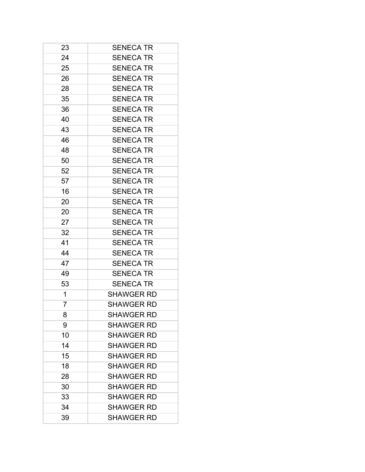| 23 | <b>SENECA TR</b>  |
|----|-------------------|
| 24 | <b>SENECA TR</b>  |
| 25 | <b>SENECA TR</b>  |
| 26 | <b>SENECA TR</b>  |
| 28 | <b>SENECA TR</b>  |
| 35 | <b>SENECA TR</b>  |
| 36 | <b>SENECA TR</b>  |
| 40 | <b>SENECA TR</b>  |
| 43 | <b>SENECA TR</b>  |
| 46 | <b>SENECA TR</b>  |
| 48 | <b>SENECA TR</b>  |
| 50 | <b>SENECA TR</b>  |
| 52 | <b>SENECA TR</b>  |
| 57 | <b>SENECA TR</b>  |
| 16 | <b>SENECA TR</b>  |
| 20 | <b>SENECA TR</b>  |
| 20 | <b>SENECA TR</b>  |
| 27 | <b>SENECA TR</b>  |
| 32 | <b>SENECA TR</b>  |
| 41 | <b>SENECA TR</b>  |
| 44 | <b>SENECA TR</b>  |
| 47 | <b>SENECA TR</b>  |
| 49 | <b>SENECA TR</b>  |
| 53 | <b>SENECA TR</b>  |
| 1  | <b>SHAWGER RD</b> |
| 7  | <b>SHAWGER RD</b> |
| 8  | <b>SHAWGER RD</b> |
| 9  | <b>SHAWGER RD</b> |
| 10 | <b>SHAWGER RD</b> |
| 14 | <b>SHAWGER RD</b> |
| 15 | <b>SHAWGER RD</b> |
| 18 | <b>SHAWGER RD</b> |
| 28 | <b>SHAWGER RD</b> |
| 30 | <b>SHAWGER RD</b> |
| 33 | <b>SHAWGER RD</b> |
| 34 | <b>SHAWGER RD</b> |
| 39 | <b>SHAWGER RD</b> |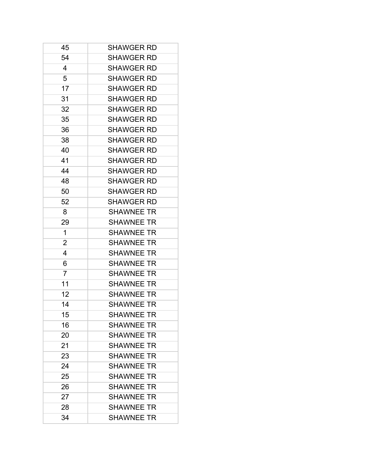| 45             | <b>SHAWGER RD</b> |
|----------------|-------------------|
| 54             | <b>SHAWGER RD</b> |
| 4              | <b>SHAWGER RD</b> |
| 5              | <b>SHAWGER RD</b> |
| 17             | <b>SHAWGER RD</b> |
| 31             | <b>SHAWGER RD</b> |
| 32             | <b>SHAWGER RD</b> |
| 35             | <b>SHAWGER RD</b> |
| 36             | <b>SHAWGER RD</b> |
| 38             | <b>SHAWGER RD</b> |
| 40             | <b>SHAWGER RD</b> |
| 41             | <b>SHAWGER RD</b> |
| 44             | <b>SHAWGER RD</b> |
| 48             | <b>SHAWGER RD</b> |
| 50             | <b>SHAWGER RD</b> |
| 52             | <b>SHAWGER RD</b> |
| 8              | <b>SHAWNEE TR</b> |
| 29             | <b>SHAWNEE TR</b> |
| 1              | <b>SHAWNEE TR</b> |
| 2              | <b>SHAWNEE TR</b> |
| 4              | <b>SHAWNEE TR</b> |
| 6              | <b>SHAWNEE TR</b> |
| $\overline{7}$ | <b>SHAWNEE TR</b> |
| 11             | <b>SHAWNEE TR</b> |
| 12             | <b>SHAWNEE TR</b> |
| 14             | <b>SHAWNEE TR</b> |
| 15             | <b>SHAWNEE TR</b> |
| 16             | <b>SHAWNEE TR</b> |
| 20             | <b>SHAWNEE TR</b> |
| 21             | <b>SHAWNEE TR</b> |
| 23             | <b>SHAWNEE TR</b> |
| 24             | <b>SHAWNEE TR</b> |
| 25             | <b>SHAWNEE TR</b> |
| 26             | <b>SHAWNEE TR</b> |
| 27             | <b>SHAWNEE TR</b> |
| 28             | <b>SHAWNEE TR</b> |
| 34             | <b>SHAWNEE TR</b> |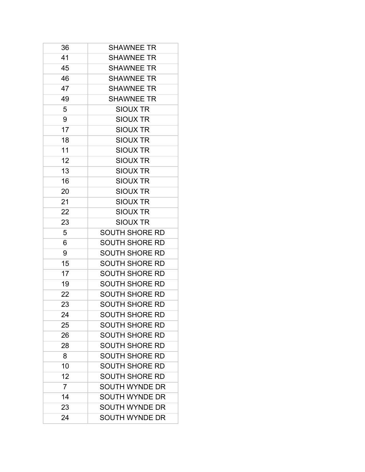| 36             | <b>SHAWNEE TR</b>     |
|----------------|-----------------------|
| 41             | <b>SHAWNEE TR</b>     |
| 45             | <b>SHAWNEE TR</b>     |
| 46             | <b>SHAWNEE TR</b>     |
| 47             | <b>SHAWNEE TR</b>     |
| 49             | <b>SHAWNEE TR</b>     |
| 5              | <b>SIOUX TR</b>       |
| 9              | <b>SIOUX TR</b>       |
| 17             | <b>SIOUX TR</b>       |
| 18             | <b>SIOUX TR</b>       |
| 11             | <b>SIOUX TR</b>       |
| 12             | <b>SIOUX TR</b>       |
| 13             | <b>SIOUX TR</b>       |
| 16             | SIOUX TR              |
| 20             | <b>SIOUX TR</b>       |
| 21             | <b>SIOUX TR</b>       |
| 22             | <b>SIOUX TR</b>       |
| 23             | <b>SIOUX TR</b>       |
| 5              | <b>SOUTH SHORE RD</b> |
| 6              | <b>SOUTH SHORE RD</b> |
| 9              | <b>SOUTH SHORE RD</b> |
| 15             | <b>SOUTH SHORE RD</b> |
| 17             | <b>SOUTH SHORE RD</b> |
| 19             | <b>SOUTH SHORE RD</b> |
| 22             | <b>SOUTH SHORE RD</b> |
| 23             | <b>SOUTH SHORE RD</b> |
| 24             | <b>SOUTH SHORE RD</b> |
| 25             | <b>SOUTH SHORE RD</b> |
| 26             | <b>SOUTH SHORE RD</b> |
| 28             | <b>SOUTH SHORE RD</b> |
| 8              | <b>SOUTH SHORE RD</b> |
| 10             | <b>SOUTH SHORE RD</b> |
| 12             | <b>SOUTH SHORE RD</b> |
| $\overline{7}$ | <b>SOUTH WYNDE DR</b> |
| 14             | <b>SOUTH WYNDE DR</b> |
| 23             | <b>SOUTH WYNDE DR</b> |
| 24             | <b>SOUTH WYNDE DR</b> |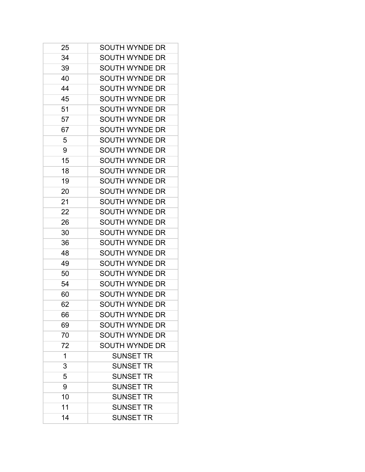| 25 | SOUTH WYNDE DR        |
|----|-----------------------|
| 34 | <b>SOUTH WYNDE DR</b> |
| 39 | SOUTH WYNDE DR        |
| 40 | <b>SOUTH WYNDE DR</b> |
| 44 | <b>SOUTH WYNDE DR</b> |
| 45 | <b>SOUTH WYNDE DR</b> |
| 51 | <b>SOUTH WYNDE DR</b> |
| 57 | <b>SOUTH WYNDE DR</b> |
| 67 | <b>SOUTH WYNDE DR</b> |
| 5  | SOUTH WYNDE DR        |
| 9  | <b>SOUTH WYNDE DR</b> |
| 15 | SOUTH WYNDE DR        |
| 18 | <b>SOUTH WYNDE DR</b> |
| 19 | SOUTH WYNDE DR        |
| 20 | <b>SOUTH WYNDE DR</b> |
| 21 | <b>SOUTH WYNDE DR</b> |
| 22 | <b>SOUTH WYNDE DR</b> |
| 26 | <b>SOUTH WYNDE DR</b> |
| 30 | SOUTH WYNDE DR        |
| 36 | SOUTH WYNDE DR        |
| 48 | <b>SOUTH WYNDE DR</b> |
| 49 | SOUTH WYNDE DR        |
| 50 | <b>SOUTH WYNDE DR</b> |
| 54 | <b>SOUTH WYNDE DR</b> |
| 60 | <b>SOUTH WYNDE DR</b> |
| 62 | SOUTH WYNDE DR        |
| 66 | <b>SOUTH WYNDE DR</b> |
| 69 | <b>SOUTH WYNDE DR</b> |
| 70 | <b>SOUTH WYNDE DR</b> |
| 72 | <b>SOUTH WYNDE DR</b> |
| 1  | <b>SUNSET TR</b>      |
| 3  | <b>SUNSET TR</b>      |
| 5  | <b>SUNSET TR</b>      |
| 9  | <b>SUNSET TR</b>      |
| 10 | <b>SUNSET TR</b>      |
| 11 | <b>SUNSET TR</b>      |
| 14 | <b>SUNSET TR</b>      |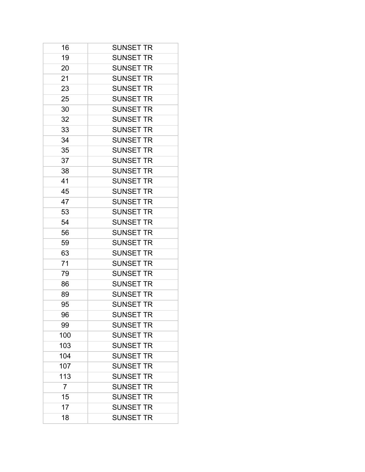| 16             | <b>SUNSET TR</b> |
|----------------|------------------|
| 19             | <b>SUNSET TR</b> |
| 20             | <b>SUNSET TR</b> |
| 21             | <b>SUNSET TR</b> |
| 23             | <b>SUNSET TR</b> |
| 25             | <b>SUNSET TR</b> |
| 30             | <b>SUNSET TR</b> |
| 32             | <b>SUNSET TR</b> |
| 33             | <b>SUNSET TR</b> |
| 34             | <b>SUNSET TR</b> |
| 35             | <b>SUNSET TR</b> |
| 37             | <b>SUNSET TR</b> |
| 38             | <b>SUNSET TR</b> |
| 41             | <b>SUNSET TR</b> |
| 45             | <b>SUNSET TR</b> |
| 47             | <b>SUNSET TR</b> |
| 53             | <b>SUNSET TR</b> |
| 54             | <b>SUNSET TR</b> |
| 56             | <b>SUNSET TR</b> |
| 59             | <b>SUNSET TR</b> |
| 63             | <b>SUNSET TR</b> |
| 71             | <b>SUNSET TR</b> |
| 79             | <b>SUNSET TR</b> |
| 86             | <b>SUNSET TR</b> |
| 89             | <b>SUNSET TR</b> |
| 95             | <b>SUNSET TR</b> |
| 96             | <b>SUNSET TR</b> |
| 99             | <b>SUNSET TR</b> |
| 100            | <b>SUNSET TR</b> |
| 103            | <b>SUNSET TR</b> |
| 104            | <b>SUNSET TR</b> |
| 107            | <b>SUNSET TR</b> |
| 113            | <b>SUNSET TR</b> |
| $\overline{7}$ | <b>SUNSET TR</b> |
| 15             | <b>SUNSET TR</b> |
| 17             | <b>SUNSET TR</b> |
| 18             | <b>SUNSET TR</b> |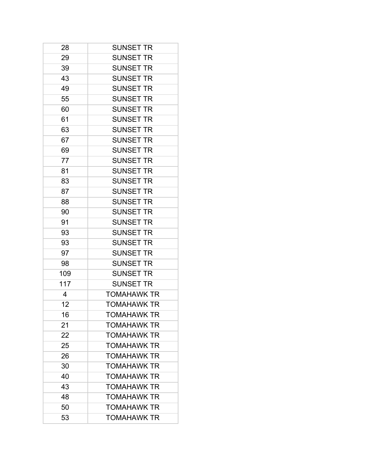| 28  | <b>SUNSET TR</b>   |
|-----|--------------------|
| 29  | <b>SUNSET TR</b>   |
| 39  | <b>SUNSET TR</b>   |
| 43  | <b>SUNSET TR</b>   |
| 49  | <b>SUNSET TR</b>   |
| 55  | <b>SUNSET TR</b>   |
| 60  | <b>SUNSET TR</b>   |
| 61  | <b>SUNSET TR</b>   |
| 63  | <b>SUNSET TR</b>   |
| 67  | <b>SUNSET TR</b>   |
| 69  | <b>SUNSET TR</b>   |
| 77  | <b>SUNSET TR</b>   |
| 81  | <b>SUNSET TR</b>   |
| 83  | <b>SUNSET TR</b>   |
| 87  | <b>SUNSET TR</b>   |
| 88  | <b>SUNSET TR</b>   |
| 90  | <b>SUNSET TR</b>   |
| 91  | <b>SUNSET TR</b>   |
| 93  | <b>SUNSET TR</b>   |
| 93  | <b>SUNSET TR</b>   |
| 97  | <b>SUNSET TR</b>   |
| 98  | <b>SUNSET TR</b>   |
| 109 | <b>SUNSET TR</b>   |
| 117 | <b>SUNSET TR</b>   |
| 4   | <b>TOMAHAWK TR</b> |
| 12  | <b>TOMAHAWK TR</b> |
| 16  | <b>TOMAHAWK TR</b> |
| 21  | <b>TOMAHAWK TR</b> |
| 22  | TOMAHAWK TR        |
| 25  | <b>TOMAHAWK TR</b> |
| 26  | <b>TOMAHAWK TR</b> |
| 30  | <b>TOMAHAWK TR</b> |
| 40  | <b>TOMAHAWK TR</b> |
| 43  | <b>TOMAHAWK TR</b> |
| 48  | <b>TOMAHAWK TR</b> |
| 50  | <b>TOMAHAWK TR</b> |
| 53  | TOMAHAWK TR        |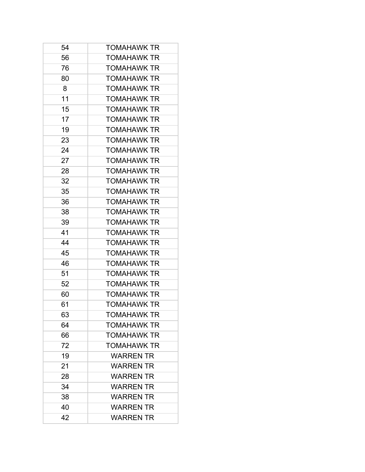| 54 | <b>TOMAHAWK TR</b> |
|----|--------------------|
| 56 | <b>TOMAHAWK TR</b> |
| 76 | <b>TOMAHAWK TR</b> |
| 80 | <b>TOMAHAWK TR</b> |
| 8  | <b>TOMAHAWK TR</b> |
| 11 | <b>TOMAHAWK TR</b> |
| 15 | <b>TOMAHAWK TR</b> |
| 17 | <b>TOMAHAWK TR</b> |
| 19 | <b>TOMAHAWK TR</b> |
| 23 | <b>TOMAHAWK TR</b> |
| 24 | <b>TOMAHAWK TR</b> |
| 27 | <b>TOMAHAWK TR</b> |
| 28 | <b>TOMAHAWK TR</b> |
| 32 | <b>TOMAHAWK TR</b> |
| 35 | <b>TOMAHAWK TR</b> |
| 36 | <b>TOMAHAWK TR</b> |
| 38 | <b>TOMAHAWK TR</b> |
| 39 | <b>TOMAHAWK TR</b> |
| 41 | <b>TOMAHAWK TR</b> |
| 44 | <b>TOMAHAWK TR</b> |
| 45 | <b>TOMAHAWK TR</b> |
| 46 | <b>TOMAHAWK TR</b> |
| 51 | <b>TOMAHAWK TR</b> |
| 52 | <b>TOMAHAWK TR</b> |
| 60 | <b>TOMAHAWK TR</b> |
| 61 | <b>TOMAHAWK TR</b> |
| 63 | <b>TOMAHAWK TR</b> |
| 64 | <b>TOMAHAWK TR</b> |
| 66 | <b>TOMAHAWK TR</b> |
| 72 | <b>TOMAHAWK TR</b> |
| 19 | <b>WARREN TR</b>   |
| 21 | <b>WARREN TR</b>   |
| 28 | <b>WARREN TR</b>   |
| 34 | <b>WARREN TR</b>   |
| 38 | <b>WARREN TR</b>   |
| 40 | <b>WARREN TR</b>   |
| 42 | <b>WARREN TR</b>   |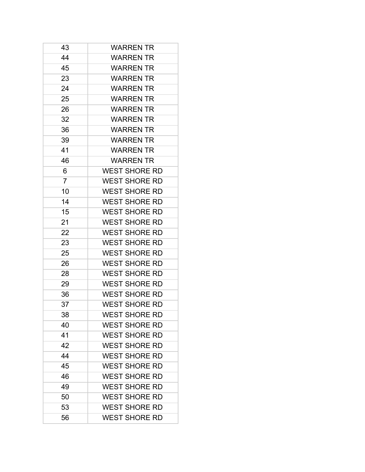| 43             | <b>WARREN TR</b>     |
|----------------|----------------------|
| 44             | <b>WARREN TR</b>     |
| 45             | <b>WARREN TR</b>     |
| 23             | <b>WARREN TR</b>     |
| 24             | <b>WARREN TR</b>     |
| 25             | <b>WARREN TR</b>     |
| 26             | <b>WARREN TR</b>     |
| 32             | <b>WARREN TR</b>     |
| 36             | <b>WARREN TR</b>     |
| 39             | <b>WARREN TR</b>     |
| 41             | <b>WARREN TR</b>     |
| 46             | <b>WARREN TR</b>     |
| 6              | <b>WEST SHORE RD</b> |
| $\overline{7}$ | <b>WEST SHORE RD</b> |
| 10             | <b>WEST SHORE RD</b> |
| 14             | <b>WEST SHORE RD</b> |
| 15             | <b>WEST SHORE RD</b> |
| 21             | <b>WEST SHORE RD</b> |
| 22             | <b>WEST SHORE RD</b> |
| 23             | <b>WEST SHORE RD</b> |
| 25             | <b>WEST SHORE RD</b> |
| 26             | <b>WEST SHORE RD</b> |
| 28             | <b>WEST SHORE RD</b> |
| 29             | <b>WEST SHORE RD</b> |
| 36             | <b>WEST SHORE RD</b> |
| 37             | <b>WEST SHORE RD</b> |
| 38             | <b>WEST SHORE RD</b> |
| 40             | <b>WEST SHORE RD</b> |
| 41             | <b>WEST SHORE RD</b> |
| 42             | <b>WEST SHORE RD</b> |
| 44             | <b>WEST SHORE RD</b> |
| 45             | <b>WEST SHORE RD</b> |
| 46             | <b>WEST SHORE RD</b> |
| 49             | <b>WEST SHORE RD</b> |
| 50             | <b>WEST SHORE RD</b> |
| 53             | <b>WEST SHORE RD</b> |
| 56             | <b>WEST SHORE RD</b> |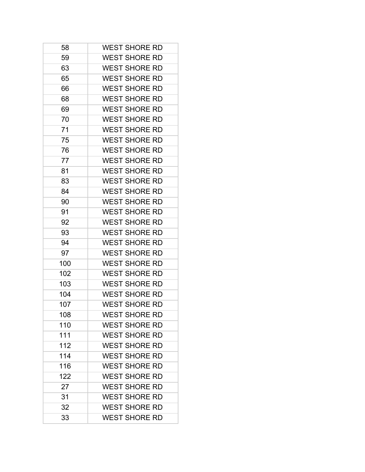| 58  | <b>WEST SHORE RD</b> |
|-----|----------------------|
| 59  | <b>WEST SHORE RD</b> |
| 63  | <b>WEST SHORE RD</b> |
| 65  | <b>WEST SHORE RD</b> |
| 66  | <b>WEST SHORE RD</b> |
| 68  | <b>WEST SHORE RD</b> |
| 69  | <b>WEST SHORE RD</b> |
| 70  | <b>WEST SHORE RD</b> |
| 71  | <b>WEST SHORE RD</b> |
| 75  | <b>WEST SHORE RD</b> |
| 76  | <b>WEST SHORE RD</b> |
| 77  | <b>WEST SHORE RD</b> |
| 81  | <b>WEST SHORE RD</b> |
| 83  | <b>WEST SHORE RD</b> |
| 84  | <b>WEST SHORE RD</b> |
| 90  | <b>WEST SHORE RD</b> |
| 91  | <b>WEST SHORE RD</b> |
| 92  | <b>WEST SHORE RD</b> |
| 93  | <b>WEST SHORE RD</b> |
| 94  | <b>WEST SHORE RD</b> |
| 97  | <b>WEST SHORE RD</b> |
| 100 | <b>WEST SHORE RD</b> |
| 102 | <b>WEST SHORE RD</b> |
| 103 | <b>WEST SHORE RD</b> |
| 104 | <b>WEST SHORE RD</b> |
| 107 | <b>WEST SHORE RD</b> |
| 108 | <b>WEST SHORE RD</b> |
| 110 | <b>WEST SHORE RD</b> |
| 111 | <b>WEST SHORE RD</b> |
| 112 | <b>WEST SHORE RD</b> |
| 114 | <b>WEST SHORE RD</b> |
| 116 | <b>WEST SHORE RD</b> |
| 122 | <b>WEST SHORE RD</b> |
| 27  | <b>WEST SHORE RD</b> |
| 31  | <b>WEST SHORE RD</b> |
| 32  | <b>WEST SHORE RD</b> |
| 33  | <b>WEST SHORE RD</b> |